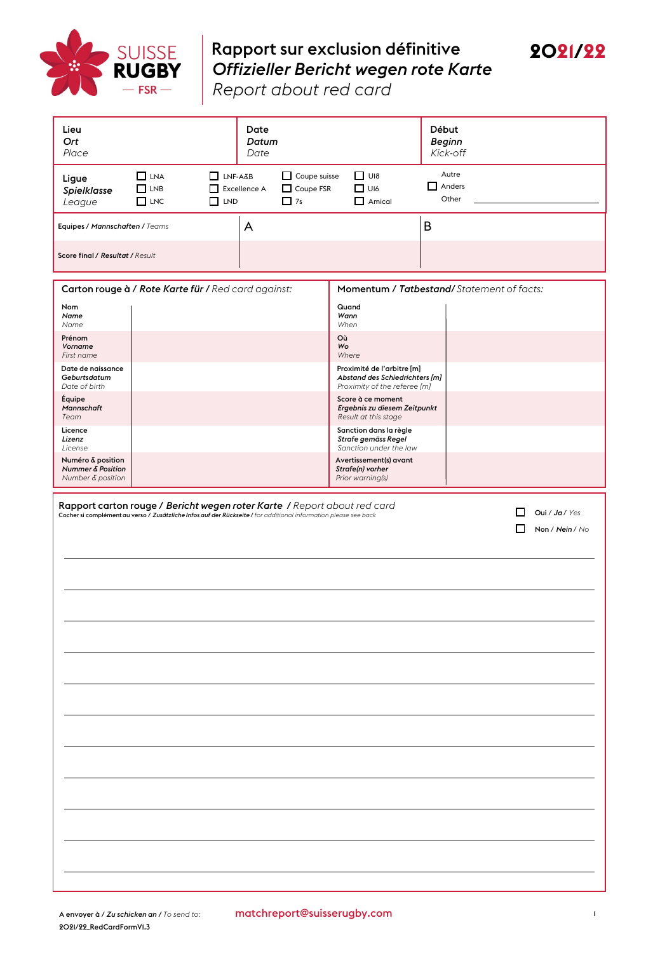

## Rapport sur exclusion définitive *Offizieller Bericht wegen rote Karte*



*Report about red card*

| Lieu<br>Ort<br>Place                                                                                                                                                                                                                              |                                        | Date<br>Date                                      | Datum                                  |                                                                                              | Début<br><b>Beginn</b><br>Kick-off |  |  |
|---------------------------------------------------------------------------------------------------------------------------------------------------------------------------------------------------------------------------------------------------|----------------------------------------|---------------------------------------------------|----------------------------------------|----------------------------------------------------------------------------------------------|------------------------------------|--|--|
| Ligue<br>Spielklasse<br>League                                                                                                                                                                                                                    | $\Box$ LNA<br>$\Box$ LNB<br>$\Box$ LNC | $\Box$ LNF-A&B<br>Excellence A<br>□<br>$\Box$ LND | Coupe suisse<br>Coupe FSR<br>$\Box$ 7s | $\Box$ UI8<br>$\Box$ UI6<br>$\Box$ Amical                                                    | Autre<br>$\Box$ Anders<br>Other    |  |  |
| Equipes / Mannschaften / Teams                                                                                                                                                                                                                    |                                        | A                                                 |                                        |                                                                                              | B                                  |  |  |
| Score final / Resultat / Result                                                                                                                                                                                                                   |                                        |                                                   |                                        |                                                                                              |                                    |  |  |
| Carton rouge à / Rote Karte für / Red card against:<br>Momentum / Tatbestand/Statement of facts:                                                                                                                                                  |                                        |                                                   |                                        |                                                                                              |                                    |  |  |
| Nom<br>Name<br>Name                                                                                                                                                                                                                               |                                        |                                                   |                                        | Quand<br>Wann<br>When                                                                        |                                    |  |  |
| Prénom<br>Vorname<br>First name                                                                                                                                                                                                                   |                                        |                                                   |                                        | Où<br>Wo<br>Where                                                                            |                                    |  |  |
| Date de naissance<br>Geburtsdatum<br>Date of birth                                                                                                                                                                                                |                                        |                                                   |                                        | Proximité de l'arbitre [m]<br>Abstand des Schiedrichters [m]<br>Proximity of the referee [m] |                                    |  |  |
| Équipe<br>Mannschaft<br>Team                                                                                                                                                                                                                      |                                        |                                                   |                                        | Score à ce moment<br>Ergebnis zu diesem Zeitpunkt<br>Result at this stage                    |                                    |  |  |
| Licence<br>Lizenz<br>License                                                                                                                                                                                                                      |                                        |                                                   |                                        | Sanction dans la règle<br>Strafe gemäss Regel<br>Sanction under the law                      |                                    |  |  |
| Numéro & position<br>Nummer & Position<br>Number & position                                                                                                                                                                                       |                                        |                                                   |                                        | Avertissement(s) avant<br>Strafe(n) vorher<br>Prior warning(s)                               |                                    |  |  |
| Rapport carton rouge / Bericht wegen roter Karte / Report about red card<br>Oui / Ja / Yes<br>$\mathbf{L}$<br>Cocher si complément au verso / Zusätzliche Infos auf der Rückseite / for additional information please see back<br>Non / Nein / No |                                        |                                                   |                                        |                                                                                              |                                    |  |  |
|                                                                                                                                                                                                                                                   |                                        |                                                   |                                        |                                                                                              |                                    |  |  |
|                                                                                                                                                                                                                                                   |                                        |                                                   |                                        |                                                                                              |                                    |  |  |
|                                                                                                                                                                                                                                                   |                                        |                                                   |                                        |                                                                                              |                                    |  |  |
|                                                                                                                                                                                                                                                   |                                        |                                                   |                                        |                                                                                              |                                    |  |  |
|                                                                                                                                                                                                                                                   |                                        |                                                   |                                        |                                                                                              |                                    |  |  |
|                                                                                                                                                                                                                                                   |                                        |                                                   |                                        |                                                                                              |                                    |  |  |
|                                                                                                                                                                                                                                                   |                                        |                                                   |                                        |                                                                                              |                                    |  |  |
|                                                                                                                                                                                                                                                   |                                        |                                                   |                                        |                                                                                              |                                    |  |  |
|                                                                                                                                                                                                                                                   |                                        |                                                   |                                        |                                                                                              |                                    |  |  |
|                                                                                                                                                                                                                                                   |                                        |                                                   |                                        |                                                                                              |                                    |  |  |